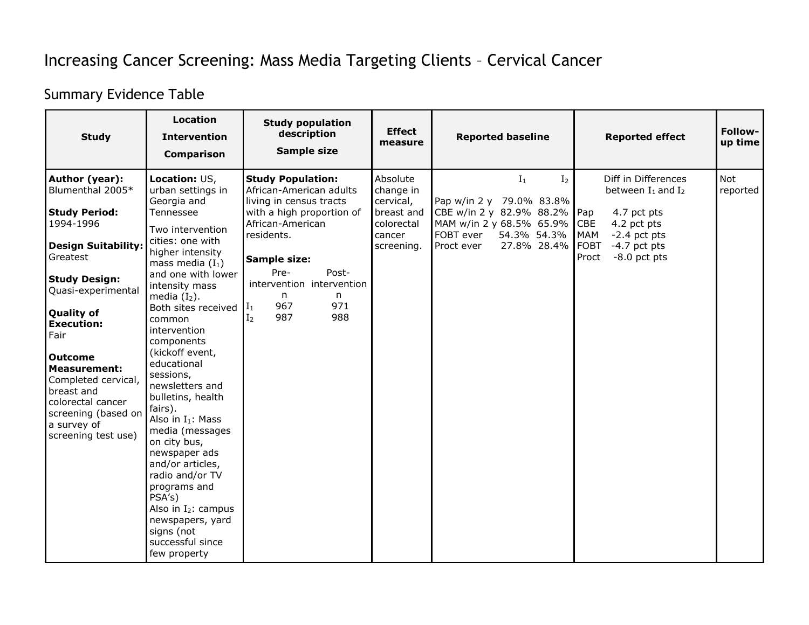## Increasing Cancer Screening: Mass Media Targeting Clients – Cervical Cancer

## Summary Evidence Table

| <b>Study</b>                                                                                                                                                                                                                                                                                                                                                                      | <b>Location</b><br><b>Intervention</b><br><b>Comparison</b>                                                                                                                                                                                                                                                                                                                                                                                                                                                                                                                                                               | <b>Study population</b><br>description<br><b>Sample size</b>                                                                                                                                                                                                                          | <b>Effect</b><br>measure                                                               | <b>Reported baseline</b>                                                                                                                                             | <b>Reported effect</b>                                                                                                                                                                        | Follow-<br>up time |
|-----------------------------------------------------------------------------------------------------------------------------------------------------------------------------------------------------------------------------------------------------------------------------------------------------------------------------------------------------------------------------------|---------------------------------------------------------------------------------------------------------------------------------------------------------------------------------------------------------------------------------------------------------------------------------------------------------------------------------------------------------------------------------------------------------------------------------------------------------------------------------------------------------------------------------------------------------------------------------------------------------------------------|---------------------------------------------------------------------------------------------------------------------------------------------------------------------------------------------------------------------------------------------------------------------------------------|----------------------------------------------------------------------------------------|----------------------------------------------------------------------------------------------------------------------------------------------------------------------|-----------------------------------------------------------------------------------------------------------------------------------------------------------------------------------------------|--------------------|
| Author (year):<br>Blumenthal 2005*<br><b>Study Period:</b><br>1994-1996<br><b>Design Suitability:</b><br>Greatest<br><b>Study Design:</b><br>Quasi-experimental<br><b>Quality of</b><br><b>Execution:</b><br>Fair<br><b>Outcome</b><br><b>Measurement:</b><br>Completed cervical,<br>breast and<br>colorectal cancer<br>screening (based on<br>a survey of<br>screening test use) | Location: US,<br>urban settings in<br>Georgia and<br>Tennessee<br>Two intervention<br>cities: one with<br>higher intensity<br>mass media $(I_1)$<br>and one with lower<br>intensity mass<br>media $(I_2)$ .<br>Both sites received<br>common<br>intervention<br>components<br>(kickoff event,<br>educational<br>sessions,<br>newsletters and<br>bulletins, health<br>fairs).<br>Also in $I_1$ : Mass<br>media (messages<br>on city bus,<br>newspaper ads<br>and/or articles,<br>radio and/or TV<br>programs and<br>PSA's)<br>Also in $I_2$ : campus<br>newspapers, yard<br>signs (not<br>successful since<br>few property | <b>Study Population:</b><br>African-American adults<br>living in census tracts<br>with a high proportion of<br>African-American<br>residents.<br>Sample size:<br>Pre-<br>Post-<br>intervention intervention<br>n<br>n<br>967<br>971<br>$\mathbf{I}_1$<br>987<br>988<br>I <sub>2</sub> | Absolute<br>change in<br>cervical,<br>breast and<br>colorectal<br>cancer<br>screening. | $I_1$<br>I <sub>2</sub><br>Pap w/in 2 y 79.0% 83.8%<br>CBE w/in 2 y 82.9% 88.2%<br>MAM w/in 2 y 68.5% 65.9%<br>FOBT ever<br>54.3% 54.3%<br>27.8% 28.4%<br>Proct ever | Diff in Differences<br>between $I_1$ and $I_2$<br>Pap<br>4.7 pct pts<br><b>CBE</b><br>4.2 pct pts<br><b>MAM</b><br>$-2.4$ pct pts<br><b>FOBT</b><br>$-4.7$ pct pts<br>$-8.0$ pct pts<br>Proct | Not<br>reported    |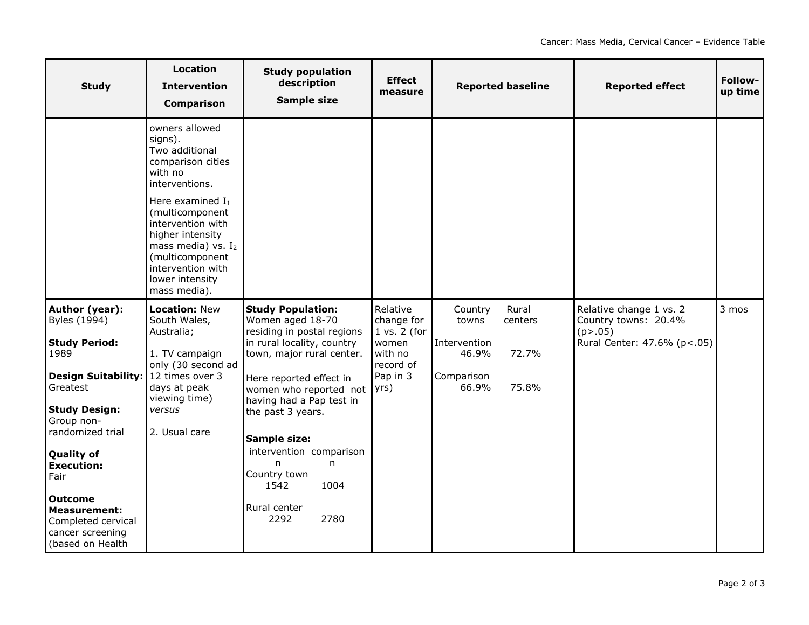| <b>Study</b>                                                                                                                                                                                                                                                                                                                           | <b>Location</b><br><b>Intervention</b><br><b>Comparison</b>                                                                                                                                                                                                                          | <b>Study population</b><br>description<br>Sample size                                                                                                                                                                                                                                                                                                                   | <b>Effect</b><br>measure                                                                | <b>Reported baseline</b>                                                                               | <b>Reported effect</b>                                                                      | Follow-<br>up time |
|----------------------------------------------------------------------------------------------------------------------------------------------------------------------------------------------------------------------------------------------------------------------------------------------------------------------------------------|--------------------------------------------------------------------------------------------------------------------------------------------------------------------------------------------------------------------------------------------------------------------------------------|-------------------------------------------------------------------------------------------------------------------------------------------------------------------------------------------------------------------------------------------------------------------------------------------------------------------------------------------------------------------------|-----------------------------------------------------------------------------------------|--------------------------------------------------------------------------------------------------------|---------------------------------------------------------------------------------------------|--------------------|
|                                                                                                                                                                                                                                                                                                                                        | owners allowed<br>signs).<br>Two additional<br>comparison cities<br>with no<br>interventions.<br>Here examined $I_1$<br>(multicomponent<br>intervention with<br>higher intensity<br>mass media) vs. $I_2$<br>(multicomponent<br>intervention with<br>lower intensity<br>mass media). |                                                                                                                                                                                                                                                                                                                                                                         |                                                                                         |                                                                                                        |                                                                                             |                    |
| Author (year):<br>Byles (1994)<br><b>Study Period:</b><br>1989<br>Design Suitability:   12 times over 3<br>Greatest<br><b>Study Design:</b><br>Group non-<br>randomized trial<br><b>Quality of</b><br><b>Execution:</b><br>Fair<br><b>Outcome</b><br><b>Measurement:</b><br>Completed cervical<br>cancer screening<br>(based on Health | <b>Location: New</b><br>South Wales,<br>Australia;<br>1. TV campaign<br>only (30 second ad<br>days at peak<br>viewing time)<br>versus<br>2. Usual care                                                                                                                               | <b>Study Population:</b><br>Women aged 18-70<br>residing in postal regions<br>in rural locality, country<br>town, major rural center.<br>Here reported effect in<br>women who reported not   yrs)<br>having had a Pap test in<br>the past 3 years.<br>Sample size:<br>intervention comparison<br>n<br>n<br>Country town<br>1542<br>1004<br>Rural center<br>2292<br>2780 | Relative<br>change for<br>$1$ vs. $2$ (for<br>women<br>with no<br>record of<br>Pap in 3 | Rural<br>Country<br>towns<br>centers<br>Intervention<br>72.7%<br>46.9%<br>Comparison<br>75.8%<br>66.9% | Relative change 1 vs. 2<br>Country towns: 20.4%<br>(p > .05)<br>Rural Center: 47.6% (p<.05) | 3 mos              |